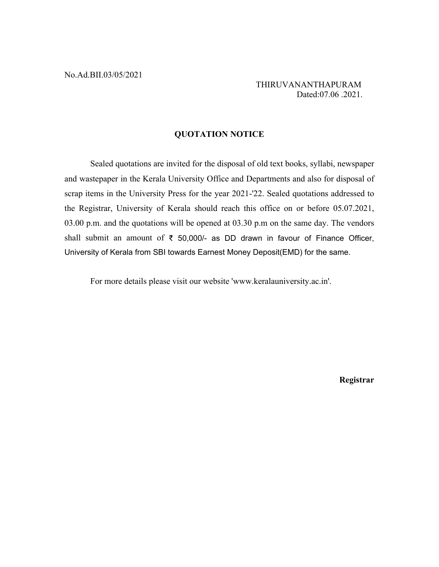THIRUVANANTHAPURAM Dated:07.06 .2021.

## **QUOTATION NOTICE**

Sealed quotations are invited for the disposal of old text books, syllabi, newspaper and wastepaper in the Kerala University Office and Departments and also for disposal of scrap items in the University Press for the year 2021-'22. Sealed quotations addressed to the Registrar, University of Kerala should reach this office on or before 05.07.2021, 03.00 p.m. and the quotations will be opened at 03.30 p.m on the same day. The vendors shall submit an amount of  $\bar{\tau}$  50,000/- as DD drawn in favour of Finance Officer, University of Kerala from SBI towards Earnest Money Deposit(EMD) for the same.

For more details please visit our website 'www.keralauniversity.ac.in'.

**Registrar**